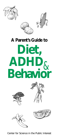





# **A Parent's Guide to Diet, ADHD**& **Behavior**









Center for Science in the Public Interest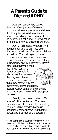# **A Parent's Guide to** Diet and **ADHD**\*

Attention-deficit/hyperactivity disorder (ADHD) is one of the most common behavioral problems in children. It not only bedevils children, but also affects their siblings and parents. It can be treated, but not cured. A key question for parents is how to treat their children.

ADHD—also called hyperactivity or attention-deficit disorder—has been diagnosed in millions of American children and adults. The main symptoms in children are reduced attentiveness and concentration, excessive levels of activity, distractibility, and impulsiveness. Before

concluding that your child has ADHD, consult a doctor or psychologist who is qualified to make the diagnosis. Many children whose parents think they have ADHD are merely very active or spirited.



Besides ADHD, some children exhibit other types and degrees of inappropriate behavior.

Exactly how many children suffer from ADHD is not known. The usual estimates are 3 to 5 percent of school-age children. Using broader diagnostic definitions, some surveys find that the percentage is as high as 20 percent in

\* This pamphlet is adapted from *Diet, ADHD & Behavior*, published by the Center for Science in the Public Interest. That report is available from CSPI or its Internet site (www.cspinet.org).

1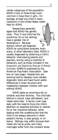certain subgroups of the population. ADHD is two or three times more common in boys than in girls. On average, at least one child in every classroom in the United States needs help for ADHD.

Researchers generally agree that ADHD has genetic roots. Thus, if one child has the syndrome, his or her siblings have a greater risk of developing it. Because doctors cannot yet diagnose



ADHD by using blood analyses, brain scans, or other laboratory tests, ADHD is usually diagnosed by observing a child's behavior, interviewing parents and teachers, and by using a checklist of behaviors, such as those included in the *Diagnostic and Statistical Manual of Mental Disorders* (DSM)-IV published by the American Psychiatric Association. (See box on next page.) Researchers are working hard to develop more reliable diagnostic tools and have found subtle differences in brain structure and metabolism between children with and without ADHD.

ADHD takes an enormous toll on children and their families. The child falls behind in school, loses self-esteem, and needs extra help. A family must cope daily with the need to focus the child's attention on essential activities or restrain his or her impulsive behavior, while dealing with the unsettling fact that the child is not always welcome in other people's homes, in play groups, or on teams. Siblings may suffer because their needs are not as acute, and many marriages suffer from the constant stress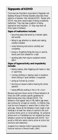# **Signposts of ADHD**

The American Psychiatric Association's *Diagnostic and Statistical Manual of Mental Disorders* describes three patterns of behavior that indicate ADHD. People with ADHD may show several signs of being consistently inattentive. They may have a pattern of being hyperactive and impulsive. Or they may show all three types of behavior.

#### **Signs of inattention include:**

- becoming easily distracted by irrelevant sights and sounds
- failing to pay attention to details and making careless mistakes
- rarely following instructions carefully and completely
- losing or forgetting things like toys, or pencils, books, and tools needed for a task
- avoiding tasks that require sustained mental effort

#### **Signs of hyperactivity and impulsivity include:**

- feeling restless, often fidgeting with hands or feet, or squirming
- running, climbing, or leaving a seat, in situations where sitting or quiet behavior is expected
- acting as if driven by a motor
- blurting out answers before hearing the whole question
- having difficulty waiting in line or for a turn

Because everyone shows some of those behaviors at times, the DSM contains specific guidelines for determining when they indicate ADHD. The behaviors must appear early in life, before age seven, and continue for at least six months. In children, they must be more frequent or severe than in others the same age. Above all, the behaviors must create a real handicap in at least two areas of a person's life, such as school, home, work, or social settings. So someone whose work or friendships are not impaired by those behaviors would not be diagnosed with ADHD. Nor would a child who seems overly active at school but functions well elsewhere.

(Adapted from *Attention Deficit Hyperactivity Disorder*, National Institute of Mental Health, 1994.)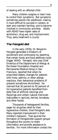of dealing with an affected child.

Many children outgrow or learn how to control their symptoms. But symptoms sometimes persist into adulthood, making it more difficult to succeed in careers, to start and maintain families, and to become involved in community activities. Adults with ADHD have higher rates of alcoholism, drug use, and imprisonment. Thus, early treatment is crucial.

### **The Feingold diet**

In the early 1970s, Dr. Benjamin Feingold generated a firestorm of excitement and controversy by asserting that certain foods and food additives could trigger ADHD. Feingold, who was Chief Emeritus of the Department of Allergy at the Kaiser Foundation Hospital and Permanente Medical Group in San Francisco, reported that when he prescribed dietary changes for patients with hives, asthma, or other allergic reactions, their behavioral problems (if present) sometimes diminished. He claimed that 30 percent to 50 percent of his hyperactive patients benefited from diets free of artificial colorings and flavorings and certain natural chemicals (salicylates in apricots, berries, tomatoes, and other foods).

Thousands of beleaguered families, eager for drug-free relief for their hyperactive children, tried Feingold's diet. Many reported improvement in their children's behavior. That spurred the formation of Feingold-diet support groups throughout the country to share information and provide assistance to families. For more information contact the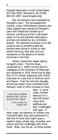Feingold Association of the United States (P.O. Box 6550, Alexandria, VA 22306; 800-321-3287; www.feingold.org).

But not everyone was impressed by Feingold's claim. The processed-food industry, many child-behavior experts, and many pediatricians reacted to Feingold's claim with skepticism bordering on derision, pointing out that it was based solely on his and parental observations and was not backed by any controlled studies. The reported successes of his diet could be due to something else the families were doing or simply to their wishful thinking, they said, and not necessarily to the absence of certain chemicals in the food.

Slowly, researchers began testing Feingold's claim. The first study, conducted by C. Keith Conners and his colleagues at the University of Pittsburgh and published in 1976, found that at least four of 15 children diagnosed with ADHD improved on a diet free of artificial colors and flavors. Over the next two decades, almost two dozen more controlled trials followed, most of which focused on food

*"I would rather be different because of what I eat than because of how I behave."*

> Chris, 11 years old, Waldorf, MD

dyes. In some cases, children were put on a diet that lacked many food additives and then "challenged" with dyes. In

other cases, the behavior of children was monitored after they were switched to a diet free of foods that might cause a reaction (dyes, wheat, egg, chocolate, and others) and then challenged with those foods. Most—but not all—of those studies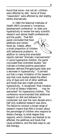found that some—but not all—children were affected by diet. Some of those "responders" were affected by diet slightly, others dramatically.

In 1982 the National Institutes of Health (NIH) convened a "consensus development conference" on diets and hyperactivity to review the early scientific research and advise health professionals and the public. That NIH panel concluded that food additives and certain foods do, indeed, affect a small proportion of children with behavioral problems. In addition to noting that anecdotal reports claimed "dramatic improvements" in some hyperactive children, the panel concluded that controlled studies "did indicate a limited positive association between defined [Feingold-type] diets and a decrease in hyperactivity." It pointed out that a major limitation of the research was that most studies tested the effect only of dyes and not of other additives and foods that also might promote hyperactivity. It recognized "that initiation of a trial of dietary treatment . . . may be warranted" for hyperactive children. The conference recommended that additional research on diet and behavior be conducted, but over the next decade and a half only scattered research was done. The failure to conduct a broad range of research means that little is known about the percentage of children who respond to dietary therapy, to what degree they respond, which children are likeliest to be affected, the additives and foods that cause problems, and the best ways to use diet therapy.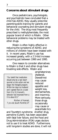#### **Concerns about stimulant drugs**

Once pediatricians, psychologists, and psychiatrists have concluded that a child has ADHD, they usually prescribe parenting-skills training for parents and behavioral counseling and stimulant drugs for the child. The drug most frequently prescribed is methylphenidate, the most popular brand of which is Ritalin. Other behavioral problems may be treated with other drugs.

Ritalin is often highly effective in reducing the symptoms of ADHD, and millions of children have been treated with it. In recent years, Ritalin's use has increased greatly, with a 2.5-fold increase occurring just between 1990 and 1995.

One reason to consider alternatives to Ritalin is that it and other drugs have troubling side effects. Ritalin and

*"Our belief that medication should only be a last resort spurred us into action and we began the Feingold program. Within ten days my husband and I agreed that on a scale from 0 to 10, Hannah's behavior had improved from a 0 to about 8.5."*

Mother of Hannah, 7 yrs old, South Pomfret,VT

amphetamines (Adderall, Dexedrine) may cause reduced appetite and weight loss, stomachaches, and insomnia. More seriously, those drugs occasionally may cause or exacerbate tics

and Tourette's syndrome. Another drug, pemoline (Cylert), has been associated with fatal liver failure, and the Food and Drug Administration (FDA) urges doctors not to use it to treat ADHD. Furthermore, until long-term studies are done, it will not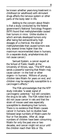be known whether years-long treatment in childhood (or adulthood) with stimulant drugs affects the nervous system or other parts of the body later in life.

Adding to the concern about Ritalin is that a study conducted by the federal government's National Toxicology Program (NTP) found that methylphenidate caused liver tumors in mice. Unlike studies in which animals developed tumors only after being fed extraordinarily high dosages of a chemical, the dose of methylphenidate that caused tumors was only several times higher than the maximum recommended dose in humans. (In a separate study, amphetamines did not cause cancer.)

Samuel Epstein, a cancer expert at the School of Public Health at the University of Illinois, says, "The NTP study sends a powerful warning that Ritalin may cause cancer—in the liver or other organs—in humans. Millions of young children take Ritalin for years on end, and children may be especially susceptible to a carcinogen's effects."

The FDA acknowledges that the NTP study indicates "a weak signal of carcinogenic potential," but still considers the drug to be safe. The FDA noted that it did not cause cancer in rats and that the strain of mouse used was especially susceptible to developing liver tumors. There is no evidence that Ritalin causes cancer in humans, but no studies have followed large numbers of Ritalin-users for four or five decades. After all, large numbers of children have been consuming Ritalin for only the past one or two decades, and cancer might not occur until the children reach their 60s or 70s.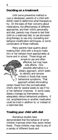# **Deciding on a treatment**

Until some preventive method or cure is developed, parents of a child with ADHD need to determine what therapies to try. On the basis of their concerns about medications, the effectiveness of different approaches, and their child's personality and diet, parents may choose to test their child on a restricted diet, to use stimulantdrug therapy, to use only counseling and behavior-modification techniques, or some combination of those methods.

Many parents have qualms about treating their child with a drug to make him or her behave more appropriately at home and in school. Those drugs are

> simple to use and often effective, but may have side effects. One possible alternative is a dietary approach, which seeks to identify and remove irritants in foods that cause behavioral symptoms. That approach entails eliminating

certain foods from the (unmedicated) child's diet for several weeks to see if his or her behavior improves. In some cases, dietary changes by themselves may adequately reduce behavioral problems. If not, amphetamines or another medication could be tried in addition to, or instead of, a restricted diet.

## **Treating your child with diet**

Numerous studies have demonstrated that the behavior of some children improves when they avoid certain foods. Those children may react to any of a variety of different foods and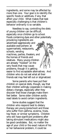ingredients, and some may be affected by more than one. Your goal is to identify the specific foods or additives, if any, that affect your child. What makes that task especially challenging is that children's behavior ordinarily is so variable.

Needless to say, controlling the diets of young children can be difficult, especially once children go to school. Foods containing dyes and other potentially provoking ingredients are advertised aggressively and available everywhere: at supermarkets, restaurants, schools, vending machines, parties, theaters, and the homes of friends and relatives. Many young children are already "hooked" on the very foods that may cause problems, though it is getting easier to find acceptable alternatives. And

children who do not eat what all their friends eat may feel left out or stigmatized.

Some parents who have put their children on special diets, though, say that their children willingly cooperate in making dietary changes, especially after they discover that those changes make them feel better. Some older children avidly read labels to avoid certain ingredients.

Some studies suggest that the children who respond best to dietary therapy are young (preschool) and those who suffer from asthma, eczema, hives, hay fever, or similar symptoms. Children who still have significant problems after taking stimulant medications might also be good candidates. But, no matter the age of your child or the exact nature of his or her behavioral problem, it could be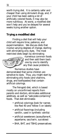worth trying diet. It is certainly safer and cheaper than using stimulant drugs, and, if your child has been eating a lot of artificially colored foods, it may also be more nutritious. At worst, a modified diet won't help and you've delayed for several weeks trying another option.

# **Trying a modified diet**

Finding a diet that will help your child will require time, patience, and experimentation. We discuss diets that involve varying degrees of change, starting with eliminating only dyes. The most restricted diets begin by eliminating



numerous common foods and then add them back one by one to identify any that cause problems.

Numerous studies have demonstrated that some children are sensitive to dyes. Thus, you might start by eliminating only foods (and vitamins, drugs, and toothpastes) that contain artificial colorings.

The Feingold diet, which is based mostly on unconfirmed reports from parents and doctors, eliminates additional additives, as well as "salicylate-containing" foods. That diet eliminates:

- artificial colorings (look for names like Red 40 and Yellow 5 on labels)
- artificial flavorings (including vanillin, used in synthetic vanilla)
- artificial sweeteners (acesulfame-K, aspartame, saccharin, sucralose)
- BHA, BHT, and TBHQ preservatives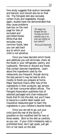One study suggests that sodium benzoate and benzoic acid should also be on that list. The Feingold diet also excludes certain fruits and vegetables, though, again, studies have not demonstrated that

they cause problems (see box on the next page for lists of excluded and permitted foods). While that diet excludes many common foods, later you can add back any to which your child is not sensitive.

*"We began the Feingold diet last Thursday and find it relatively easy to do . . . what was holding me back before??"*

Monica,Williamsville, NY

Once you have decided which foods and additives you will eliminate, check all the foods in your refrigerator, pantry, and cupboards. Remove or discard any foods that contain banned ingredients. Learn about the ingredients used by the restaurants you frequent, though during the test period it may be best to stick mostly to foods you prepare at home. Major fast-food chains offer lists of the ingredients in their products; ask servers or call their consumer-affairs offices. The Feingold Association publishes lists of selected packaged and chain-restaurant foods that fit into the diet, but you'll have to become a careful label reader and inquisitive restaurant-goer to learn the ingredients in your children's favorite foods.

Once you are set to go, put your child (and the rest of the family, if possible) on the modified diet for two or three weeks. Stick to the diet as carefully as you can. If your child mistakenly eats a prohibited food, don't get upset, just get him or her back on the diet.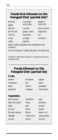# **Foods Not Allowed on the Feingold Diet (partial list)\***

| almond:  |
|----------|
| apples   |
| apricots |
| berries  |

s cucumbers peppers apples and pickles (bell, chili) and pickles (bell, chili)

(all) grapes, raisins tangerines

cherries nectarines tea

cloves oranges tomatoes

coffee peaches

currants plums, prunes

aspirin (acetyl salicylate) and medications that contain it

oil of wintergreen (methyl salicylate; mint flavoring)

\**Reactions to these foods are based on unconfirmed reports, not controlled studies.*

# **Foods Allowed on the Feingold Diet (partial list)**

#### **Fruits**

| banana     | honeydew | papaya     |
|------------|----------|------------|
| cantaloupe | kiwi     | pears      |
| dates      | lemons   | pineapple  |
| grapefruit | mangoes  | watermelon |

#### **Vegetables**

| bean sprouts            | cau  |
|-------------------------|------|
| beans (all types)       | cel  |
| beets                   | kal  |
| broccoli                | len  |
| <b>Brussels sprouts</b> | lett |
| cabbage                 | mu   |
| carrots                 | oni  |

uliflower peas lery potatoes le spinach htils squash ons zucchini

tuce sweet corn shrooms sweet potato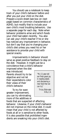You should use a notebook to keep track of your child's behavior before and after you put your child on the diet. Prepare a score sheet (see box on next page) based on common characteristics of ADHD, but modify that to include your own child's most troubling behaviors. Use a separate page for each day. Note when behavior problems arise and which foods your child had eaten recently. You also can ask your child's teacher if he or she has noticed any improvement in behavior, but don't say that you're changing your child's diet unless you need his or her assistance to provide your child with special snacks.

Improvements in behavior should serve as great positive feedback to stay on the diet. However, it might just be a coincidence that a child's behavior

improved when the diet was introduced. Parents should try to be objective and not let their expectations color their views of their child's behavior.

To try for even greater improvement, you can try eliminating more of the additives or

*"My 11-year-old son finds great joy in reading labels and discovering a new food that we can try."*

> Tricia, Eldorado Hills, CA

foods that are suspected of affecting behavior. Likewise, if your child's behavior did not improve on the initial diet, it could mean that your child is not affected by foods at all or is sensitive to other foods. It is also possible that prohibited ingredients are sneaking into your child's diet.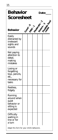| <b>Behavior</b><br><b>Scoresheet</b>                                         |  |  | Date: |  |                        |
|------------------------------------------------------------------------------|--|--|-------|--|------------------------|
| <b>Behavior</b>                                                              |  |  |       |  | Good Castle River Cool |
| Easily<br>distracted by<br>irrelevant<br>sights and<br>sounds                |  |  |       |  |                        |
| Not paying<br>attention to<br>detail,<br>making<br>mistakes                  |  |  |       |  |                        |
| Losing or<br>forgetting<br>toys, pencils,<br>etc.,<br>necessary for<br>tasks |  |  |       |  |                        |
| Restless,<br>fidgety                                                         |  |  |       |  |                        |
| Running<br>around when<br>quiet<br>behavior or<br>sitting is<br>expected     |  |  |       |  |                        |
| Difficulty<br>waiting in<br>line or for<br>a turn                            |  |  |       |  |                        |
| Adapt this form for your child's behaviors.                                  |  |  |       |  |                        |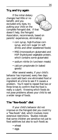# **Try, and try again**

If the initial dietary changes had little or no benefit, and you excluded only dyes, try putting your child on the complete Feingold diet. If that doesn't help, the Feingold Association, recommends, based on parents' experiences, eliminating:

- corn syrup, high-fructose corn syrup, and corn sugar (in soft drinks and other sweetened foods)
- MSG (monosodium glutamate) and HVP (hydrolyzed vegetable protein, which contains some glutamate)
- sodium nitrite (in luncheon meats)
- calcium propionate (in baked goods)

After several weeks, if your child's behavior has improved, every few days you could add back one eliminated food or ingredient at a time to see if it causes a problem. You'll need to repeat that two or three times to confirm that the food is really a culprit. Knowing which foods do not pose problems allows your child to eat a wider range of foods.

# **The "few-foods" diet**

If your child's behavior did not improve on the Feingold diet you could try a "few-foods" diet, which involves more extensive restrictions. Studies indicate that some children are sensitive not just to food additives but also to such foods as:

- wheat
- eggs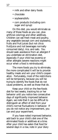- milk and other dairy foods
- chocolate
- soybeans/tofu
- corn products (including corn sugar and syrup)

On this diet, you would eliminate as many of those foods as you can, plus artificial colorings and other additives. Children can eat fresh meat and poultry, any vegetable (except corn and soybeans), fruits and fruit juices (but not citrus fruit/juice and not beverages normally consumed daily), rice, and oats. You should seek assistance from an allergist if you undertake an elimination diet, especially if your child has eczema or other allergies (severe reactions might occur when a food is reintroduced).

The more foods you try to eliminate, the more complicated it will be to provide healthy meals and win your child's cooperation. Fortunately, most of the restrictions will be temporary, because you will be trying to identify the foods that do not cause problems, as well as those that do.

Keep your child on the few-foods diet for two weeks, tracking his or her behavior until you notice two consecutive days of significantly improved behavior. Again, we note that it can be difficult to distinguish an effect of diet from your child's normal fluctuations in behavior. If you do not notice any improvement, you can end your experiment.

If you have noted improved behavior, add back to your child's diet one of the eliminated foods or additives at a time. After your child has eaten that food for several days in a row, note in your diary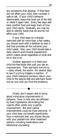any symptoms that develop. If that food did not affect your child, then consider it safe to eat. If your child's behavior deteriorated, leave that food out of the diet or retest it again later. Every few days add back another food and keep track of how your child reacts. Gradually, you may be able to identify foods that do and do not affect your child.

If your child stays on a sharply restricted diet for more than a few weeks, you should work with a dietitian to plan a diet that provides all the nutrients your child needs. Also, your child should take a daily vitamin-and-mineral supplement, which makes sense regardless of what diet he or she is on.

Another approach is to feed your child the few-foods diet until you see an improvement. Then add back *everything* —dyes, wheat, the works—for several days to see if *anything* triggers a reaction. If your child's behavior worsens, return your child to the special diet and add back foods one by one until you find the problems.

Finally, don't expect diet to bring about miraculous improvements in behavior. Even in kids who are affected by food ingredients, eliminating the culprits often yields only a partial improvement. But even partial improvements could be most welcome. If your child does not benefit significantly from a restricted diet, you should discuss with your pediatrician other treatment options, including medications and behavioral counseling.